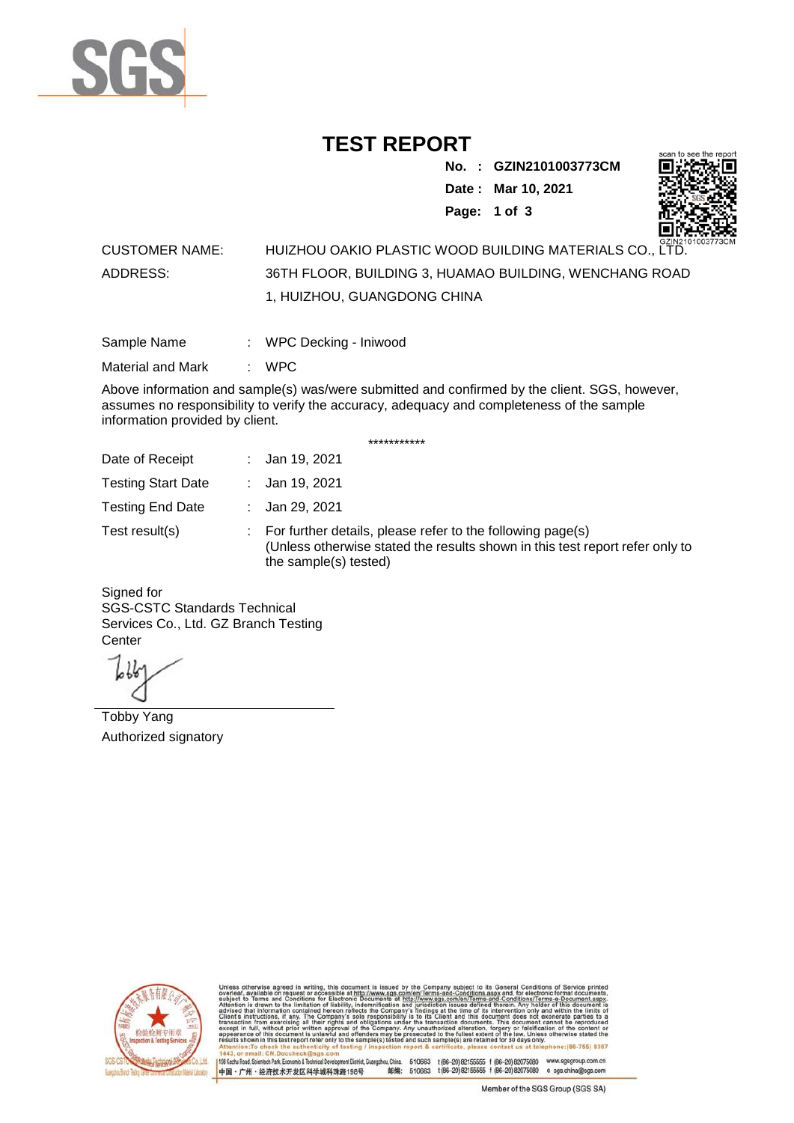

## **TEST REPORT**

**No. : GZIN2101003773CM Date : Mar 10, 2021 Page: 1 of 3** 



## CUSTOMER NAME: HUIZHOU OAKIO PLASTIC WOOD BUILDING MATERIALS CO., LTD. ADDRESS: 36TH FLOOR, BUILDING 3, HUAMAO BUILDING, WENCHANG ROAD 1, HUIZHOU, GUANGDONG CHINA

| Sample Name | WPC Decking - Iniwood |  |
|-------------|-----------------------|--|
|             |                       |  |

Material and Mark : WPC

Above information and sample(s) was/were submitted and confirmed by the client. SGS, however, assumes no responsibility to verify the accuracy, adequacy and completeness of the sample information provided by client.

\*\*\*\*\*\*\*\*\*\*\*

| Date of Receipt           | : Jan 19, 2021                                                                                                                                                        |
|---------------------------|-----------------------------------------------------------------------------------------------------------------------------------------------------------------------|
| <b>Testing Start Date</b> | : Jan 19, 2021                                                                                                                                                        |
| <b>Testing End Date</b>   | : Jan 29, 2021                                                                                                                                                        |
| Test result(s)            | : For further details, please refer to the following page(s)<br>(Unless otherwise stated the results shown in this test report refer only to<br>the sample(s) tested) |

Signed for SGS-CSTC Standards Technical Services Co., Ltd. GZ Branch Testing **Center** 

Tobby Yang Authorized signatory



510663 t(86-20) 82155555 f (86-20) 82075080 www.sgsgroup.com.cn<br>510663 t(86-20) 82155555 f (86-20) 82075080 e sgs.china@sgs.com 198 Kezhu Road, Scientech Park, Economic & Technical Devel tou, China. ant District G 邮编: 中国·广州·经济技术开发区科学城科珠路198号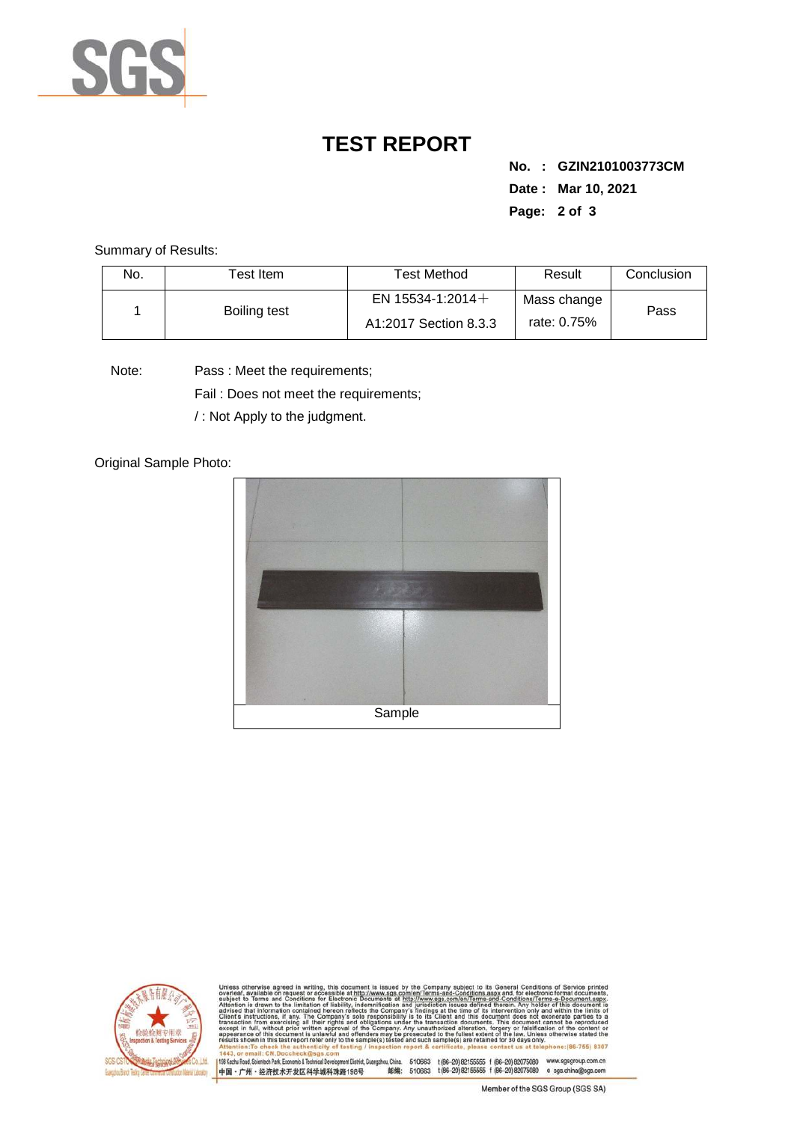

## **TEST REPORT**

**No. : GZIN2101003773CM Date : Mar 10, 2021 Page: 2 of 3** 

Summary of Results:

| No. | $\sf{Test}$ Item . | <b>Test Method</b>                           | Result                     | Conclusion |
|-----|--------------------|----------------------------------------------|----------------------------|------------|
|     | Boiling test       | EN 15534-1:2014 $+$<br>A1:2017 Section 8.3.3 | Mass change<br>rate: 0.75% | Pass       |

Note: Pass : Meet the requirements;

Fail : Does not meet the requirements;

/ : Not Apply to the judgment.

Original Sample Photo:





Conditions/Terms-e-Docu<br>rein. Any holder of this d 8307